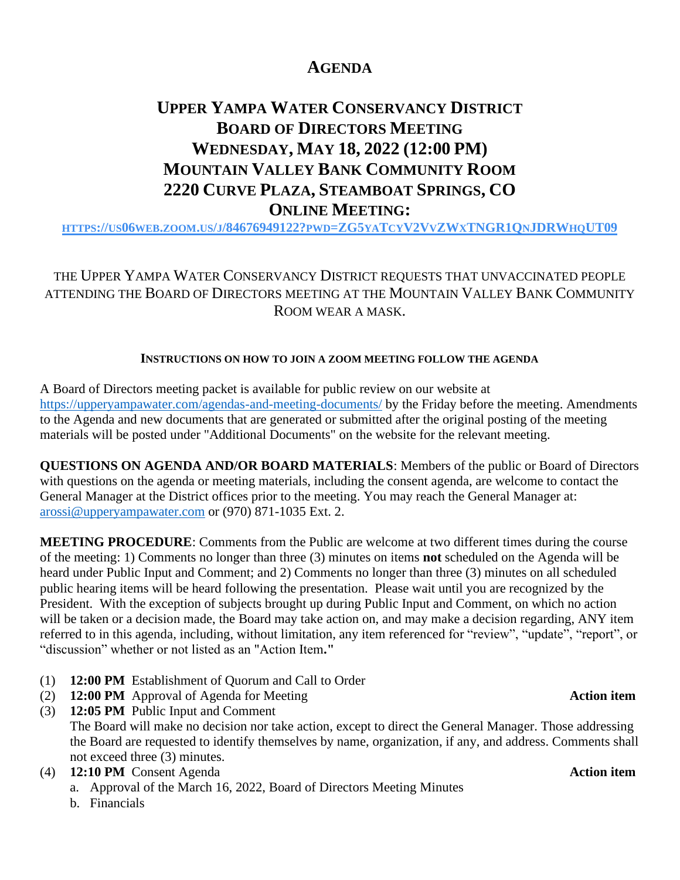# **AGENDA**

# **UPPER YAMPA WATER CONSERVANCY DISTRICT BOARD OF DIRECTORS MEETING WEDNESDAY, MAY 18, 2022 (12:00 PM) MOUNTAIN VALLEY BANK COMMUNITY ROOM 2220 CURVE PLAZA, STEAMBOAT SPRINGS, CO ONLINE MEETING:**

HTTPS://US06WEB.ZOOM.US/J[/84676949122?](https://us06web.zoom.us/j/84676949122?pwd=ZG5yaTcyV2VvZWxTNGR1QnJDRWhqUT09)PWD=ZG5YATCYV2VVZWXTNGR1QNJDRWHQUT09

THE UPPER YAMPA WATER CONSERVANCY DISTRICT REQUESTS THAT UNVACCINATED PEOPLE ATTENDING THE BOARD OF DIRECTORS MEETING AT THE MOUNTAIN VALLEY BANK COMMUNITY ROOM WEAR A MASK.

## **INSTRUCTIONS ON HOW TO JOIN A ZOOM MEETING FOLLOW THE AGENDA**

A Board of Directors meeting packet is available for public review on our website at <https://upperyampawater.com/agendas-and-meeting-documents/> by the Friday before the meeting. Amendments to the Agenda and new documents that are generated or submitted after the original posting of the meeting materials will be posted under "Additional Documents" on the website for the relevant meeting.

**QUESTIONS ON AGENDA AND/OR BOARD MATERIALS**: Members of the public or Board of Directors with questions on the agenda or meeting materials, including the consent agenda, are welcome to contact the General Manager at the District offices prior to the meeting. You may reach the General Manager at: [arossi@upperyampawater.com](mailto:arossi@upperyampawater.com) or (970) 871-1035 Ext. 2.

**MEETING PROCEDURE**: Comments from the Public are welcome at two different times during the course of the meeting: 1) Comments no longer than three (3) minutes on items **not** scheduled on the Agenda will be heard under Public Input and Comment; and 2) Comments no longer than three (3) minutes on all scheduled public hearing items will be heard following the presentation. Please wait until you are recognized by the President. With the exception of subjects brought up during Public Input and Comment, on which no action will be taken or a decision made, the Board may take action on, and may make a decision regarding, ANY item referred to in this agenda, including, without limitation, any item referenced for "review", "update", "report", or "discussion" whether or not listed as an "Action Item**."**

- (1) **12:00 PM** Establishment of Quorum and Call to Order
- (2) **12:00 PM** Approval of Agenda for Meeting **Action item**
- (3) **12:05 PM** Public Input and Comment The Board will make no decision nor take action, except to direct the General Manager. Those addressing the Board are requested to identify themselves by name, organization, if any, and address. Comments shall not exceed three (3) minutes.
- (4) **12:10 PM** Consent Agenda **Action item**
	- a. Approval of the March 16, 2022, Board of Directors Meeting Minutes
	- b. Financials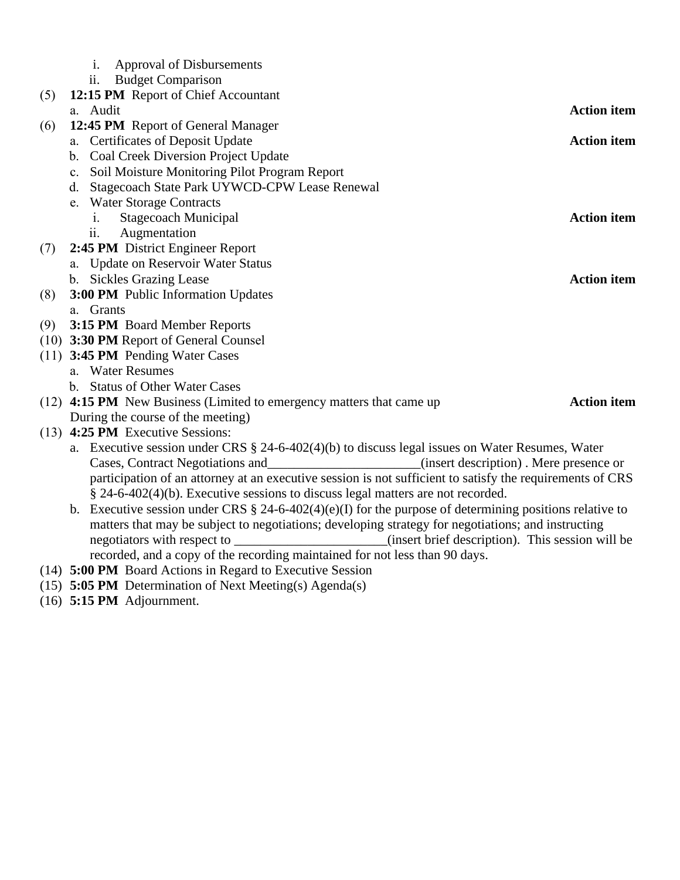|     | <b>Approval of Disbursements</b><br>i.<br><b>Budget Comparison</b><br>$\overline{\mathbf{11}}$ .                                                                                                                                                                                                                                                               |                    |  |  |  |  |
|-----|----------------------------------------------------------------------------------------------------------------------------------------------------------------------------------------------------------------------------------------------------------------------------------------------------------------------------------------------------------------|--------------------|--|--|--|--|
| (5) | 12:15 PM Report of Chief Accountant                                                                                                                                                                                                                                                                                                                            |                    |  |  |  |  |
|     | a. Audit                                                                                                                                                                                                                                                                                                                                                       | <b>Action</b> item |  |  |  |  |
| (6) | 12:45 PM Report of General Manager                                                                                                                                                                                                                                                                                                                             |                    |  |  |  |  |
|     | a. Certificates of Deposit Update                                                                                                                                                                                                                                                                                                                              | <b>Action item</b> |  |  |  |  |
|     | <b>Coal Creek Diversion Project Update</b><br>b.                                                                                                                                                                                                                                                                                                               |                    |  |  |  |  |
|     | Soil Moisture Monitoring Pilot Program Report<br>c.                                                                                                                                                                                                                                                                                                            |                    |  |  |  |  |
|     | Stagecoach State Park UYWCD-CPW Lease Renewal<br>d.                                                                                                                                                                                                                                                                                                            |                    |  |  |  |  |
|     | e. Water Storage Contracts                                                                                                                                                                                                                                                                                                                                     |                    |  |  |  |  |
|     | Stagecoach Municipal<br>1.                                                                                                                                                                                                                                                                                                                                     | <b>Action item</b> |  |  |  |  |
|     | Augmentation<br>$\overline{11}$ .                                                                                                                                                                                                                                                                                                                              |                    |  |  |  |  |
| (7) | 2:45 PM District Engineer Report                                                                                                                                                                                                                                                                                                                               |                    |  |  |  |  |
|     | a. Update on Reservoir Water Status                                                                                                                                                                                                                                                                                                                            |                    |  |  |  |  |
|     | b. Sickles Grazing Lease                                                                                                                                                                                                                                                                                                                                       | <b>Action item</b> |  |  |  |  |
| (8) | 3:00 PM Public Information Updates                                                                                                                                                                                                                                                                                                                             |                    |  |  |  |  |
|     | a. Grants                                                                                                                                                                                                                                                                                                                                                      |                    |  |  |  |  |
| (9) | 3:15 PM Board Member Reports                                                                                                                                                                                                                                                                                                                                   |                    |  |  |  |  |
|     | (10) 3:30 PM Report of General Counsel                                                                                                                                                                                                                                                                                                                         |                    |  |  |  |  |
|     | (11) 3:45 PM Pending Water Cases                                                                                                                                                                                                                                                                                                                               |                    |  |  |  |  |
|     | a. Water Resumes                                                                                                                                                                                                                                                                                                                                               |                    |  |  |  |  |
|     | b. Status of Other Water Cases                                                                                                                                                                                                                                                                                                                                 |                    |  |  |  |  |
|     | (12) 4:15 PM New Business (Limited to emergency matters that came up                                                                                                                                                                                                                                                                                           | <b>Action item</b> |  |  |  |  |
|     | During the course of the meeting)                                                                                                                                                                                                                                                                                                                              |                    |  |  |  |  |
|     | (13) 4:25 PM Executive Sessions:                                                                                                                                                                                                                                                                                                                               |                    |  |  |  |  |
|     | a. Executive session under CRS § 24-6-402(4)(b) to discuss legal issues on Water Resumes, Water                                                                                                                                                                                                                                                                |                    |  |  |  |  |
|     | Cases, Contract Negotiations and________________________(insert description). Mere presence or                                                                                                                                                                                                                                                                 |                    |  |  |  |  |
|     | participation of an attorney at an executive session is not sufficient to satisfy the requirements of CRS                                                                                                                                                                                                                                                      |                    |  |  |  |  |
|     | § 24-6-402(4)(b). Executive sessions to discuss legal matters are not recorded.                                                                                                                                                                                                                                                                                |                    |  |  |  |  |
|     | b. Executive session under CRS $\S$ 24-6-402(4)(e)(I) for the purpose of determining positions relative to                                                                                                                                                                                                                                                     |                    |  |  |  |  |
|     | matters that may be subject to negotiations; developing strategy for negotiations; and instructing                                                                                                                                                                                                                                                             |                    |  |  |  |  |
|     | negotiators with respect to _______________________(insert brief description). This session will be                                                                                                                                                                                                                                                            |                    |  |  |  |  |
|     | recorded, and a copy of the recording maintained for not less than 90 days.                                                                                                                                                                                                                                                                                    |                    |  |  |  |  |
|     | $\mathbf{r}$ , $\mathbf{r}$ , $\mathbf{r}$ , $\mathbf{r}$ , $\mathbf{r}$ , $\mathbf{r}$ , $\mathbf{r}$ , $\mathbf{r}$ , $\mathbf{r}$ , $\mathbf{r}$ , $\mathbf{r}$ , $\mathbf{r}$ , $\mathbf{r}$ , $\mathbf{r}$ , $\mathbf{r}$ , $\mathbf{r}$ , $\mathbf{r}$ , $\mathbf{r}$ , $\mathbf{r}$ , $\mathbf{r}$ ,<br>$(1,1)$ $\equiv$ 0.0 m $\equiv$ 0.1 $\pm$ $\pm$ |                    |  |  |  |  |

- (14) **5:00 PM** Board Actions in Regard to Executive Session
- (15) **5:05 PM** Determination of Next Meeting(s) Agenda(s)
- (16) **5:15 PM** Adjournment.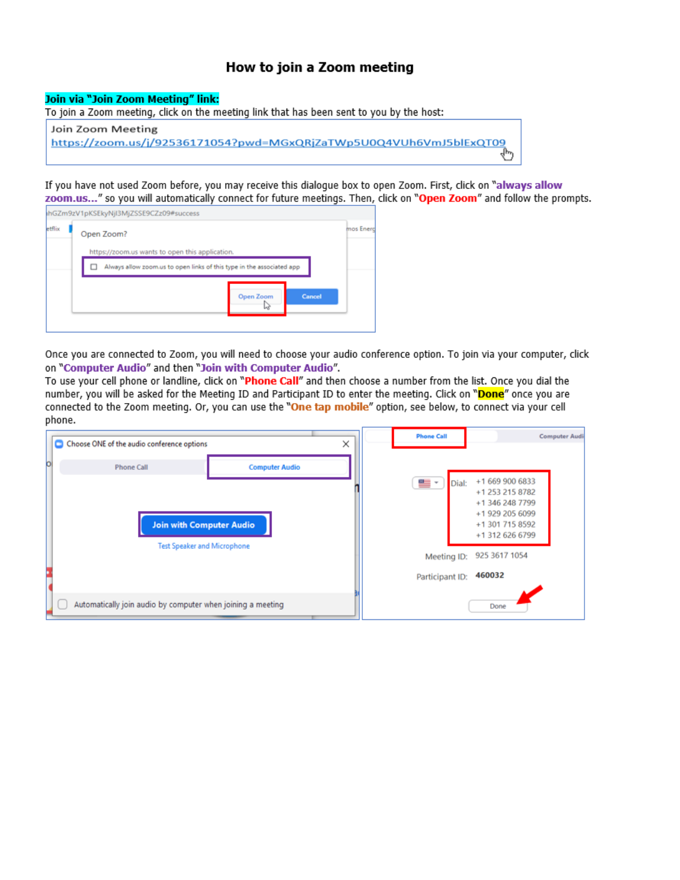# How to join a Zoom meeting

## Join via "Join Zoom Meeting" link:

To join a Zoom meeting, click on the meeting link that has been sent to you by the host:



If you have not used Zoom before, you may receive this dialogue box to open Zoom. First, click on "always allow zoom.us..." so you will automatically connect for future meetings. Then, click on "Open Zoom" and follow the prompts.

|           |        |                                                                       | ihGZm9zV1pKSEkyNjl3MjZSSE9CZz09#success         |        |  |  |
|-----------|--------|-----------------------------------------------------------------------|-------------------------------------------------|--------|--|--|
| mos Energ |        |                                                                       | Open Zoom?                                      | etflix |  |  |
|           |        |                                                                       | https://zoom.us wants to open this application. |        |  |  |
|           |        | Always allow zoom.us to open links of this type in the associated app |                                                 |        |  |  |
|           | Cancel | Open Zoom<br>IJ                                                       |                                                 |        |  |  |
|           |        |                                                                       |                                                 |        |  |  |

Once you are connected to Zoom, you will need to choose your audio conference option. To join via your computer, click on "Computer Audio" and then "Join with Computer Audio".

To use your cell phone or landline, click on "Phone Call" and then choose a number from the list. Once you dial the number, you will be asked for the Meeting ID and Participant ID to enter the meeting. Click on "Done" once you are connected to the Zoom meeting. Or, you can use the "One tap mobile" option, see below, to connect via your cell phone.

|   | Choose ONE of the audio conference options                  |                       | × |  | <b>Phone Call</b>              |                                                                                                                | <b>Computer Audi</b> |
|---|-------------------------------------------------------------|-----------------------|---|--|--------------------------------|----------------------------------------------------------------------------------------------------------------|----------------------|
| b | <b>Phone Call</b><br><b>Join with Computer Audio</b>        | <b>Computer Audio</b> |   |  | <b>a</b><br>Dial:              | +1 669 900 6833<br>+1 253 215 8782<br>+1 346 248 7799<br>+1 929 205 6099<br>+1 301 715 8592<br>+1 312 626 6799 |                      |
|   | <b>Test Speaker and Microphone</b>                          |                       |   |  | Meeting ID:<br>Participant ID: | 925 3617 1054<br>460032                                                                                        |                      |
|   | Automatically join audio by computer when joining a meeting |                       |   |  |                                | Done                                                                                                           |                      |